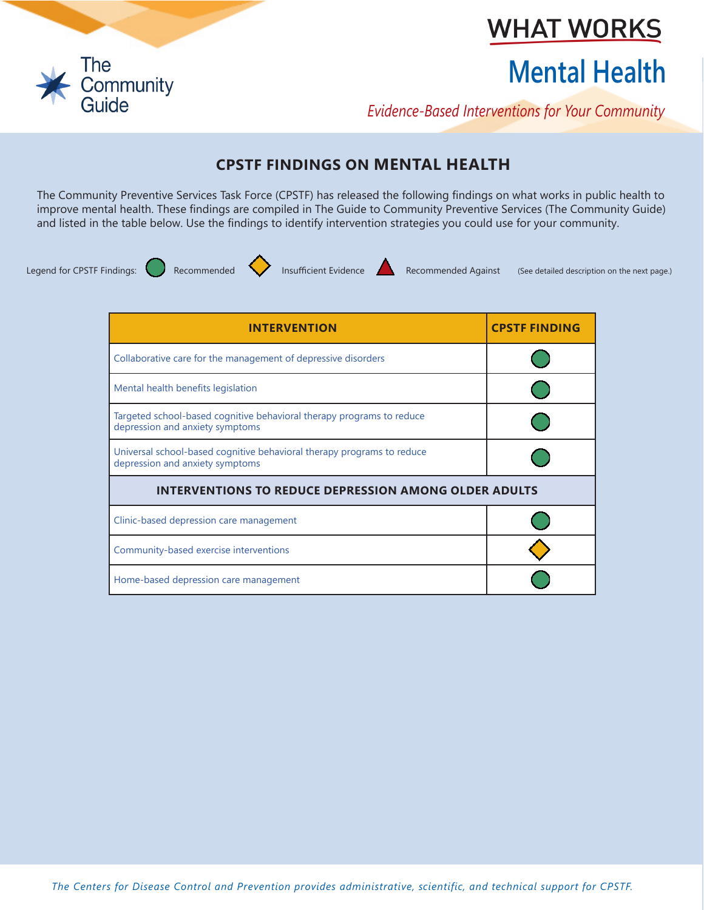

## **WHAT WORKS**

## **Mental Health**

*Evidence-Based Interventions for Your Community*

## **CPSTF FINDINGS ON MENTAL HEALTH**

The Community Preventive Services Task Force (CPSTF) has released the following findings on what works in public health to improve mental health. These findings are compiled in The Guide to Community Preventive Services (The Community Guide) and listed in the table below. Use the findings to identify intervention strategies you could use for your community.

Legend for CPSTF Findings: Recommended **Insufficient Evidence** Recommended Against (See detailed description on the next page.)

| <b>INTERVENTION</b>                                                                                       | <b>CPSTF FINDING</b> |  |
|-----------------------------------------------------------------------------------------------------------|----------------------|--|
| Collaborative care for the management of depressive disorders                                             |                      |  |
| Mental health benefits legislation                                                                        |                      |  |
| Targeted school-based cognitive behavioral therapy programs to reduce<br>depression and anxiety symptoms  |                      |  |
| Universal school-based cognitive behavioral therapy programs to reduce<br>depression and anxiety symptoms |                      |  |
| <b>INTERVENTIONS TO REDUCE DEPRESSION AMONG OLDER ADULTS</b>                                              |                      |  |
| Clinic-based depression care management                                                                   |                      |  |
| Community-based exercise interventions                                                                    |                      |  |
| Home-based depression care management                                                                     |                      |  |